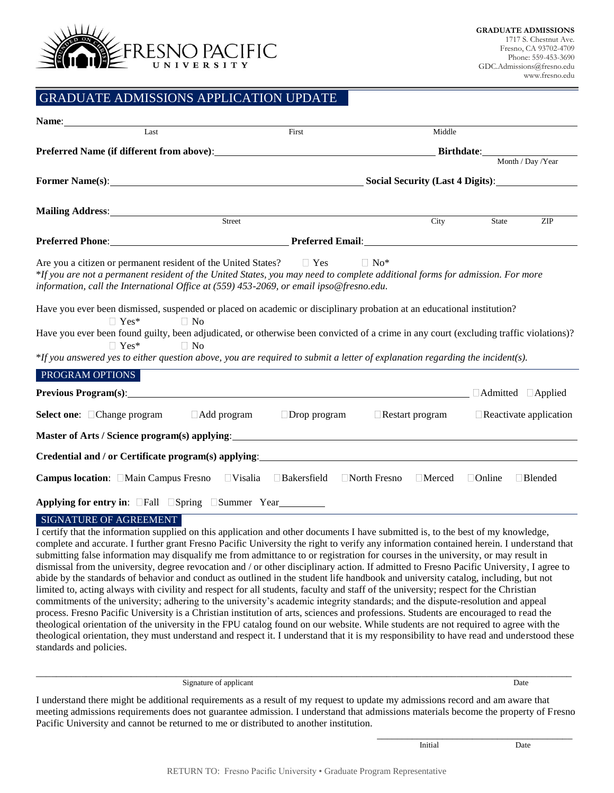

## GRADUATE ADMISSIONS APPLICATION UPDATE

| Name:                                                                                                                                                                                                                                                                                                                                                                                                                                                                                                                                                                                                                                                                                                                                                           |                                                  |                                      |                                 |  |
|-----------------------------------------------------------------------------------------------------------------------------------------------------------------------------------------------------------------------------------------------------------------------------------------------------------------------------------------------------------------------------------------------------------------------------------------------------------------------------------------------------------------------------------------------------------------------------------------------------------------------------------------------------------------------------------------------------------------------------------------------------------------|--------------------------------------------------|--------------------------------------|---------------------------------|--|
| Last                                                                                                                                                                                                                                                                                                                                                                                                                                                                                                                                                                                                                                                                                                                                                            | First                                            | Middle                               |                                 |  |
|                                                                                                                                                                                                                                                                                                                                                                                                                                                                                                                                                                                                                                                                                                                                                                 | Birthdate: Month / Day / Year                    |                                      |                                 |  |
|                                                                                                                                                                                                                                                                                                                                                                                                                                                                                                                                                                                                                                                                                                                                                                 |                                                  |                                      |                                 |  |
|                                                                                                                                                                                                                                                                                                                                                                                                                                                                                                                                                                                                                                                                                                                                                                 | Former Name(s): Social Security (Last 4 Digits): |                                      |                                 |  |
| Mailing Address: Street                                                                                                                                                                                                                                                                                                                                                                                                                                                                                                                                                                                                                                                                                                                                         |                                                  |                                      |                                 |  |
|                                                                                                                                                                                                                                                                                                                                                                                                                                                                                                                                                                                                                                                                                                                                                                 |                                                  | City                                 | State<br>ZIP                    |  |
|                                                                                                                                                                                                                                                                                                                                                                                                                                                                                                                                                                                                                                                                                                                                                                 |                                                  |                                      |                                 |  |
| Are you a citizen or permanent resident of the United States? $\Box$ Yes<br>*If you are not a permanent resident of the United States, you may need to complete additional forms for admission. For more<br>information, call the International Office at (559) 453-2069, or email ipso@fresno.edu.<br>Have you ever been dismissed, suspended or placed on academic or disciplinary probation at an educational institution?<br>$\Box$ Yes*<br>$\Box$ No<br>Have you ever been found guilty, been adjudicated, or otherwise been convicted of a crime in any court (excluding traffic violations)?<br>$\Box$ Yes*<br>$\Box$ No<br>*If you answered yes to either question above, you are required to submit a letter of explanation regarding the incident(s). |                                                  | $\Box$ No*                           |                                 |  |
| PROGRAM OPTIONS<br>Previous Program(s): example and the contract of the contract of the contract of the contract of the contract of the contract of the contract of the contract of the contract of the contract of the contract of the contract                                                                                                                                                                                                                                                                                                                                                                                                                                                                                                                |                                                  |                                      | $\Box$ Admitted $\Box$ Applied  |  |
|                                                                                                                                                                                                                                                                                                                                                                                                                                                                                                                                                                                                                                                                                                                                                                 |                                                  |                                      |                                 |  |
| <b>Select one:</b> □ Change program<br>Add program                                                                                                                                                                                                                                                                                                                                                                                                                                                                                                                                                                                                                                                                                                              | $\Box$ Drop program                              | $\Box$ Restart program               | $\Box$ Reactivate application   |  |
|                                                                                                                                                                                                                                                                                                                                                                                                                                                                                                                                                                                                                                                                                                                                                                 |                                                  |                                      |                                 |  |
|                                                                                                                                                                                                                                                                                                                                                                                                                                                                                                                                                                                                                                                                                                                                                                 |                                                  |                                      |                                 |  |
| <b>Campus location:</b> Main Campus Fresno Visalia                                                                                                                                                                                                                                                                                                                                                                                                                                                                                                                                                                                                                                                                                                              | □Bakersfield                                     | $\Box$ North Fresno<br>$\Box$ Merced | $\Box$ Online<br>$\Box$ Blended |  |
| Applying for entry in: $\Box$ Fall $\Box$ Spring $\Box$ Summer Year                                                                                                                                                                                                                                                                                                                                                                                                                                                                                                                                                                                                                                                                                             |                                                  |                                      |                                 |  |

## SIGNATURE OF AGREEMENT

I certify that the information supplied on this application and other documents I have submitted is, to the best of my knowledge, complete and accurate. I further grant Fresno Pacific University the right to verify any information contained herein. I understand that submitting false information may disqualify me from admittance to or registration for courses in the university, or may result in dismissal from the university, degree revocation and / or other disciplinary action. If admitted to Fresno Pacific University, I agree to abide by the standards of behavior and conduct as outlined in the student life handbook and university catalog, including, but not limited to, acting always with civility and respect for all students, faculty and staff of the university; respect for the Christian commitments of the university; adhering to the university's academic integrity standards; and the dispute-resolution and appeal process. Fresno Pacific University is a Christian institution of arts, sciences and professions. Students are encouraged to read the theological orientation of the university in the FPU catalog found on our website. While students are not required to agree with the theological orientation, they must understand and respect it. I understand that it is my responsibility to have read and understood these standards and policies.

Signature of applicant Date

I understand there might be additional requirements as a result of my request to update my admissions record and am aware that meeting admissions requirements does not guarantee admission. I understand that admissions materials become the property of Fresno Pacific University and cannot be returned to me or distributed to another institution.

\_\_\_\_\_\_\_\_\_\_\_\_\_\_\_\_\_\_\_\_\_\_\_\_\_\_\_\_\_\_\_\_\_\_\_\_\_\_\_\_\_\_\_\_\_\_\_\_\_\_\_\_\_\_\_\_\_\_\_\_\_\_\_\_\_\_\_\_\_\_\_\_\_\_\_\_\_\_\_\_\_\_\_\_\_\_\_\_\_\_\_\_\_\_\_\_\_\_\_\_\_\_\_\_\_\_\_

Initial Date

\_\_\_\_\_\_\_\_\_\_\_\_\_\_\_\_\_\_\_\_\_\_\_\_\_\_\_\_\_\_\_\_\_\_\_\_\_\_\_